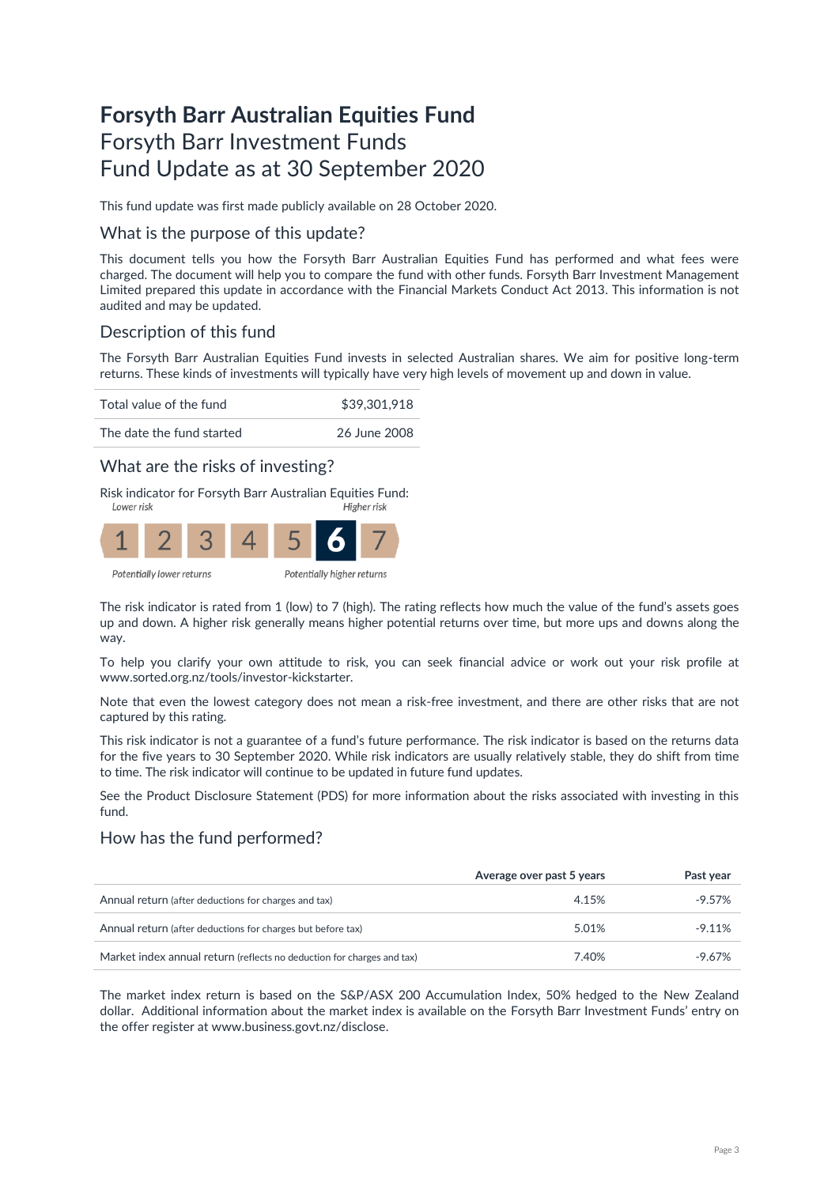# **Forsyth Barr Australian Equities Fund** Forsyth Barr Investment Funds Fund Update as at 30 September 2020

This fund update was first made publicly available on 28 October 2020.

### What is the purpose of this update?

This document tells you how the Forsyth Barr Australian Equities Fund has performed and what fees were charged. The document will help you to compare the fund with other funds. Forsyth Barr Investment Management Limited prepared this update in accordance with the Financial Markets Conduct Act 2013. This information is not audited and may be updated.

# Description of this fund

The Forsyth Barr Australian Equities Fund invests in selected Australian shares. We aim for positive long-term returns. These kinds of investments will typically have very high levels of movement up and down in value.

Total value of the fund \$39,301,918



### What are the risks of investing?

Risk indicator for Forsyth Barr Australian Equities Fund:<br>Figher risk



The risk indicator is rated from 1 (low) to 7 (high). The rating reflects how much the value of the fund's assets goes up and down. A higher risk generally means higher potential returns over time, but more ups and downs along the way.

To help you clarify your own attitude to risk, you can seek financial advice or work out your risk profile at [www.sorted.org.nz/tools/investor-kickstarter.](http://www.sorted.org.nz/tools/investor-kickstarter) 

Note that even the lowest category does not mean a risk-free investment, and there are other risks that are not captured by this rating.

This risk indicator is not a guarantee of a fund's future performance. The risk indicator is based on the returns data for the five years to 30 September 2020. While risk indicators are usually relatively stable, they do shift from time to time. The risk indicator will continue to be updated in future fund updates.

See the Product Disclosure Statement (PDS) for more information about the risks associated with investing in this fund.

### How has the fund performed?

|                                                                        | Average over past 5 years | Past year |
|------------------------------------------------------------------------|---------------------------|-----------|
| Annual return (after deductions for charges and tax)                   | 4.15%                     | $-9.57\%$ |
| Annual return (after deductions for charges but before tax)            | 5.01%                     | $-9.11%$  |
| Market index annual return (reflects no deduction for charges and tax) | 7.40%                     | $-9.67\%$ |

The market index return is based on the S&P/ASX 200 Accumulation Index, 50% hedged to the New Zealand dollar. Additional information about the market index is available on the Forsyth Barr Investment Funds' entry on the offer register at [www.business.govt.nz/disclose.](http://www.business.govt.nz/disclose)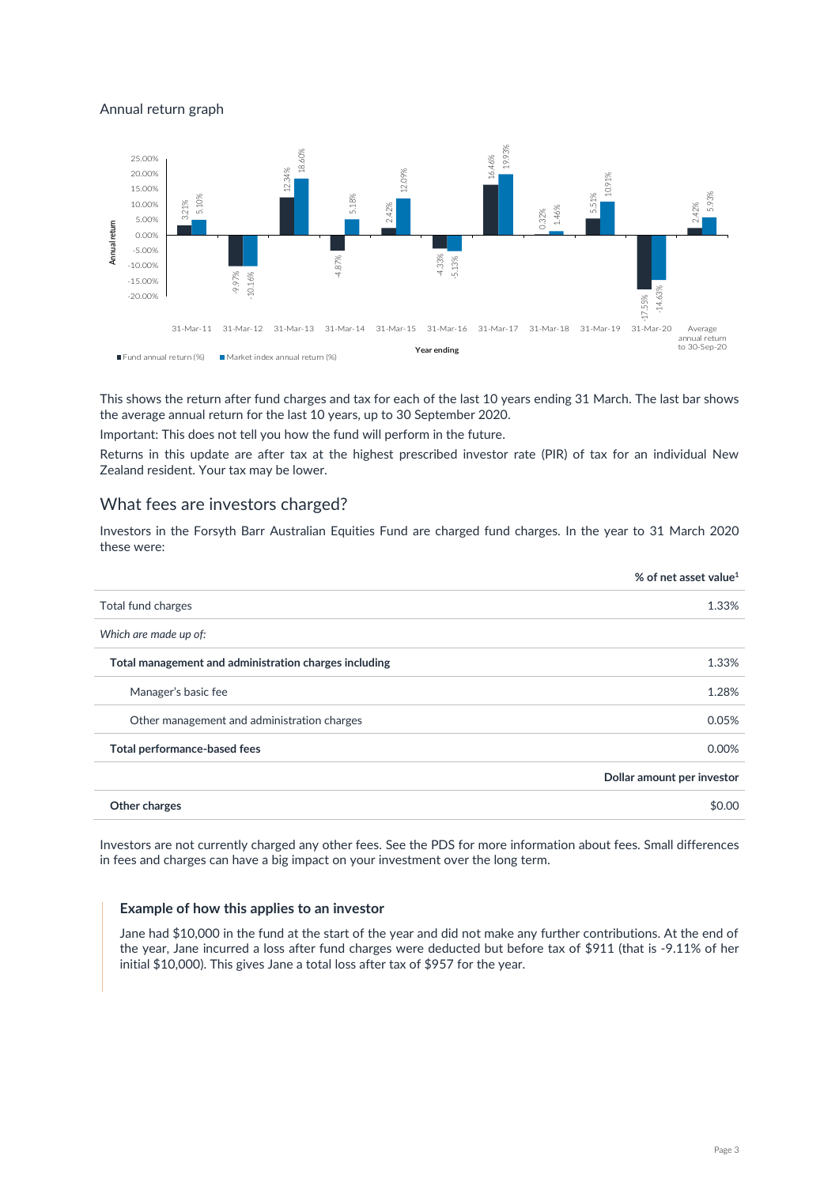#### Annual return graph



This shows the return after fund charges and tax for each of the last 10 years ending 31 March. The last bar shows the average annual return for the last 10 years, up to 30 September 2020.

Important: This does not tell you how the fund will perform in the future.

Returns in this update are after tax at the highest prescribed investor rate (PIR) of tax for an individual New Zealand resident. Your tax may be lower.

#### What fees are investors charged?

Investors in the Forsyth Barr Australian Equities Fund are charged fund charges. In the year to 31 March 2020 these were:

|                                                       | % of net asset value <sup>1</sup> |
|-------------------------------------------------------|-----------------------------------|
| Total fund charges                                    | 1.33%                             |
| Which are made up of:                                 |                                   |
| Total management and administration charges including | 1.33%                             |
| Manager's basic fee                                   | 1.28%                             |
| Other management and administration charges           | 0.05%                             |
| Total performance-based fees                          | 0.00%                             |
|                                                       | Dollar amount per investor        |
| Other charges                                         | \$0.00                            |

Investors are not currently charged any other fees. See the PDS for more information about fees. Small differences in fees and charges can have a big impact on your investment over the long term.

#### **Example of how this applies to an investor**

Jane had \$10,000 in the fund at the start of the year and did not make any further contributions. At the end of the year, Jane incurred a loss after fund charges were deducted but before tax of \$911 (that is -9.11% of her initial \$10,000). This gives Jane a total loss after tax of \$957 for the year.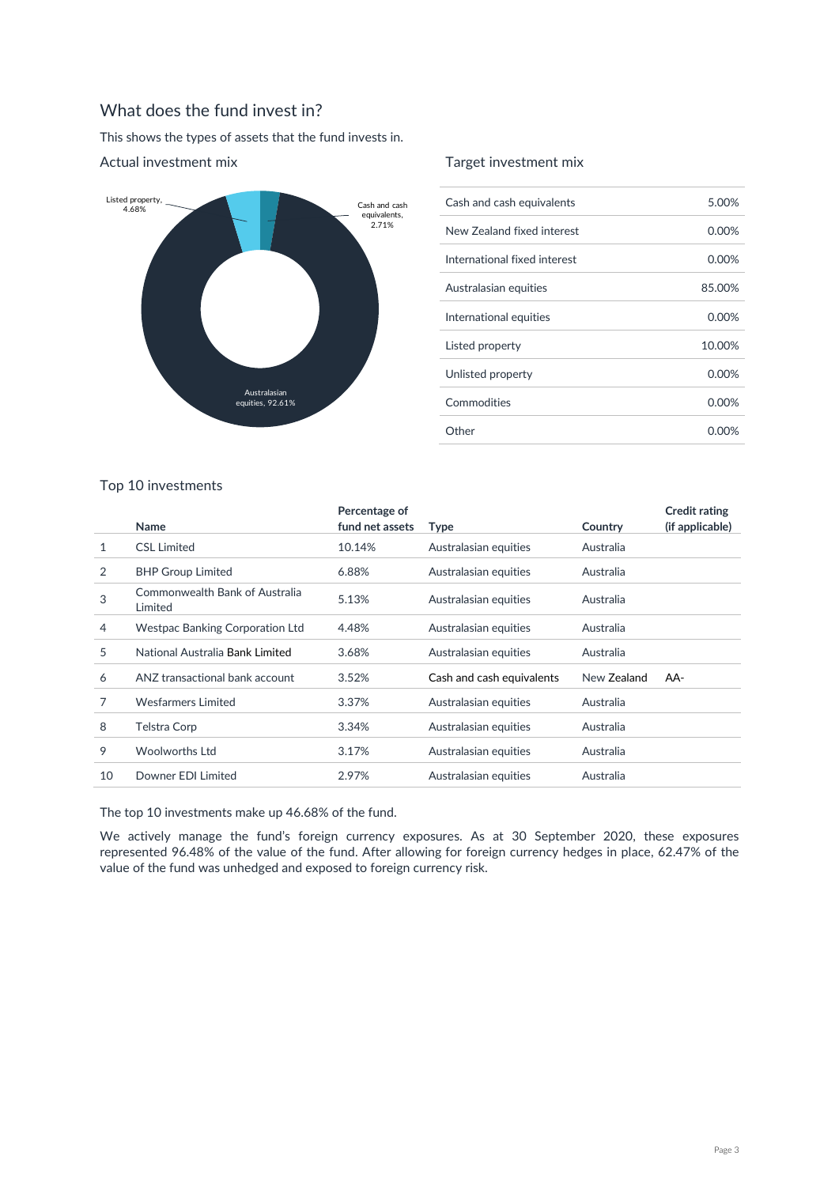# What does the fund invest in?

This shows the types of assets that the fund invests in.



#### Actual investment mix

#### Target investment mix

| Cash and cash equivalents    | 5.00%    |
|------------------------------|----------|
| New Zealand fixed interest   | 0.00%    |
| International fixed interest | 0.00%    |
| Australasian equities        | 85.00%   |
| International equities       | 0.00%    |
| Listed property              | 10.00%   |
| Unlisted property            | $0.00\%$ |
| Commodities                  | $0.00\%$ |
| Other                        | 0.00%    |

|     | <b>Note</b> 2 |  |  |  |
|-----|---------------|--|--|--|
|     |               |  |  |  |
|     |               |  |  |  |
| . . |               |  |  |  |

Top 10 investments

|    | Name                                      | Percentage of<br>fund net assets | <b>Type</b>               | Country     | <b>Credit rating</b><br>(if applicable) |
|----|-------------------------------------------|----------------------------------|---------------------------|-------------|-----------------------------------------|
| 1  | <b>CSL Limited</b>                        | 10.14%                           | Australasian equities     | Australia   |                                         |
| 2  | <b>BHP Group Limited</b>                  | 6.88%                            | Australasian equities     | Australia   |                                         |
| 3  | Commonwealth Bank of Australia<br>Limited | 5.13%                            | Australasian equities     | Australia   |                                         |
| 4  | <b>Westpac Banking Corporation Ltd</b>    | 4.48%                            | Australasian equities     | Australia   |                                         |
| 5  | National Australia Bank Limited           | 3.68%                            | Australasian equities     | Australia   |                                         |
| 6  | ANZ transactional bank account            | 3.52%                            | Cash and cash equivalents | New Zealand | AA-                                     |
| 7  | <b>Wesfarmers Limited</b>                 | 3.37%                            | Australasian equities     | Australia   |                                         |
| 8  | Telstra Corp                              | 3.34%                            | Australasian equities     | Australia   |                                         |
| 9  | <b>Woolworths Ltd</b>                     | 3.17%                            | Australasian equities     | Australia   |                                         |
| 10 | Downer EDI Limited                        | 2.97%                            | Australasian equities     | Australia   |                                         |
|    |                                           |                                  |                           |             |                                         |

The top 10 investments make up 46.68% of the fund.

We actively manage the fund's foreign currency exposures. As at 30 September 2020, these exposures represented 96.48% of the value of the fund. After allowing for foreign currency hedges in place, 62.47% of the value of the fund was unhedged and exposed to foreign currency risk.